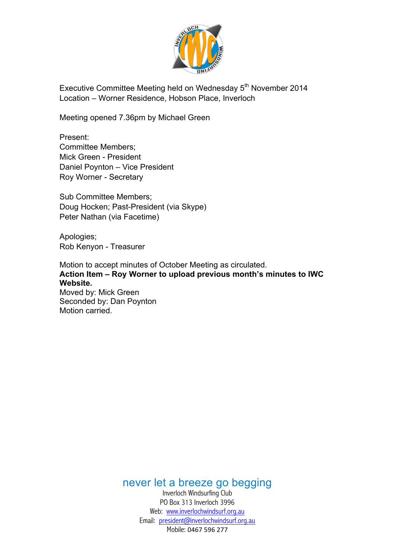

Executive Committee Meeting held on Wednesday 5<sup>th</sup> November 2014 Location – Worner Residence, Hobson Place, Inverloch

Meeting opened 7.36pm by Michael Green

Present: Committee Members; Mick Green - President Daniel Poynton – Vice President Roy Worner - Secretary

Sub Committee Members; Doug Hocken; Past-President (via Skype) Peter Nathan (via Facetime)

Apologies; Rob Kenyon - Treasurer

Motion to accept minutes of October Meeting as circulated. **Action Item – Roy Worner to upload previous month's minutes to IWC Website.** Moved by: Mick Green

Seconded by: Dan Poynton Motion carried.

never let a breeze go begging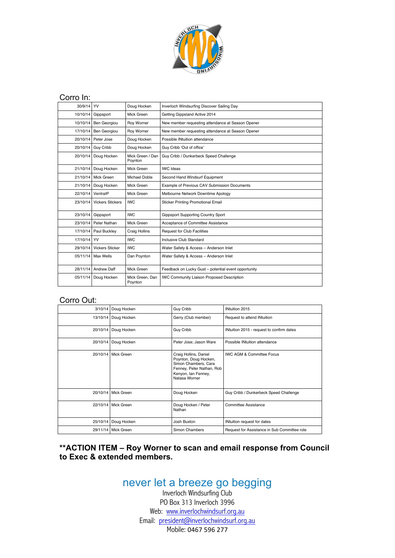

#### Corro In:

| 30/9/14           | YV                      | Doug Hocken                 | Inverloch Windsurfing Discover Sailing Day           |  |
|-------------------|-------------------------|-----------------------------|------------------------------------------------------|--|
| 10/10/14          | Gippsport               | Mick Green                  | Getting Gippsland Active 2014                        |  |
| 10/10/14          | Ben Georgiou            | Roy Worner                  | New member requesting attendance at Season Opener    |  |
| 17/10/14          | <b>Ben Georgiou</b>     | Roy Worner                  | New member requesting attendance at Season Opener    |  |
|                   | 20/10/14 Peter Jose     | Doug Hocken                 | Possible INtuition attendance                        |  |
| 20/10/14          | Guy Cribb               | Doug Hocken                 | Guy Cribb 'Out of office'                            |  |
| 20/10/14          | Doug Hocken             | Mick Green / Dan<br>Poynton | Guy Cribb / Dunkerbeck Speed Challenge               |  |
| 21/10/14          | Doug Hocken             | Mick Green                  | <b>IWC</b> Ideas                                     |  |
| 21/10/14          | Mick Green              | <b>Michael Doble</b>        | Second Hand Windsurf Equipment                       |  |
| 21/10/14          | Doug Hocken             | Mick Green                  | Example of Previous CAV Submission Documents         |  |
| 22/10/14 VentralP |                         | Mick Green                  | Melbourne Network Downtime Apology                   |  |
| 23/10/14          | <b>Vickers Stickers</b> | <b>IWC</b>                  | <b>Sticker Printing Promotional Email</b>            |  |
| 23/10/14          | Gippsport               | <b>IWC</b>                  | <b>Gippsport Supporting Country Sport</b>            |  |
|                   | 23/10/14 Peter Nathan   | Mick Green                  | Acceptance of Committee Assistance                   |  |
|                   | 17/10/14 Paul Buckley   | Craig Hollins               | <b>Request for Club Facilities</b>                   |  |
| 17/10/14 YV       |                         | <b>IWC</b>                  | Inclusive Club Standard                              |  |
| 29/10/14          | <b>Vickers Sticker</b>  | <b>IWC</b>                  | Water Safety & Access - Anderson Inlet               |  |
|                   | 05/11/14 Max Wells      | Dan Poynton                 | Water Safety & Access - Anderson Inlet               |  |
| 28/11/14          | Andrew Daff             | Mick Green                  | Feedback on Lucky Gust - potential event opportunity |  |
| 05/11/14          | Doug Hocken             | Mick Green. Dan<br>Poynton  | <b>IWC Community Liaison Proposed Description</b>    |  |

### Corro Out:

| 3/10/14  | Doug Hocken         | Guy Cribb                                                                                                                                   | INtuition 2015                               |
|----------|---------------------|---------------------------------------------------------------------------------------------------------------------------------------------|----------------------------------------------|
| 13/10/14 | Doug Hocken         | Gerry (Club member)                                                                                                                         | Request to attend INtuition                  |
| 20/10/14 | Doug Hocken         | Guy Cribb                                                                                                                                   | INtuition 2015 - request to confirm dates    |
| 20/10/14 | Doug Hocken         | Peter Jose; Jason Ware                                                                                                                      | Possible INtuition attendance                |
|          | 20/10/14 Mick Green | Craig Hollins, Daniel<br>Poynton, Doug Hocken,<br>Simon Chambers, Cara<br>Fenney, Peter Nathan, Rob<br>Kenyon, Ian Fenney,<br>Natasa Worner | <b>IWC AGM &amp; Committee Focus</b>         |
|          | 20/10/14 Mick Green | Doug Hocken                                                                                                                                 | Guy Cribb / Dunkerbeck Speed Challenge       |
|          | 22/10/14 Mick Green | Doug Hocken / Peter<br>Nathan                                                                                                               | Committee Assistance                         |
| 25/10/14 | Doug Hocken         | Josh Buxton                                                                                                                                 | INtuition request for dates                  |
|          | 29/11/14 Mick Green | Simon Chambers                                                                                                                              | Request for Assistance in Sub Committee role |

### **\*\*ACTION ITEM – Roy Worner to scan and email response from Council to Exec & extended members.**

# never let a breeze go begging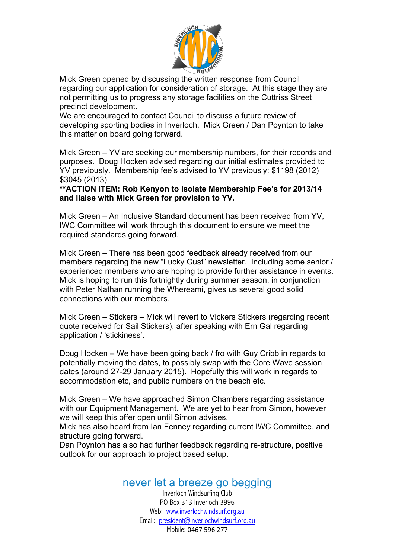

Mick Green opened by discussing the written response from Council regarding our application for consideration of storage. At this stage they are not permitting us to progress any storage facilities on the Cuttriss Street precinct development.

We are encouraged to contact Council to discuss a future review of developing sporting bodies in Inverloch. Mick Green / Dan Poynton to take this matter on board going forward.

Mick Green – YV are seeking our membership numbers, for their records and purposes. Doug Hocken advised regarding our initial estimates provided to YV previously. Membership fee's advised to YV previously: \$1198 (2012) \$3045 (2013).

**\*\*ACTION ITEM: Rob Kenyon to isolate Membership Fee's for 2013/14 and liaise with Mick Green for provision to YV.**

Mick Green – An Inclusive Standard document has been received from YV, IWC Committee will work through this document to ensure we meet the required standards going forward.

Mick Green – There has been good feedback already received from our members regarding the new "Lucky Gust" newsletter. Including some senior / experienced members who are hoping to provide further assistance in events. Mick is hoping to run this fortnightly during summer season, in conjunction with Peter Nathan running the Whereami, gives us several good solid connections with our members.

Mick Green – Stickers – Mick will revert to Vickers Stickers (regarding recent quote received for Sail Stickers), after speaking with Ern Gal regarding application / 'stickiness'.

Doug Hocken – We have been going back / fro with Guy Cribb in regards to potentially moving the dates, to possibly swap with the Core Wave session dates (around 27-29 January 2015). Hopefully this will work in regards to accommodation etc, and public numbers on the beach etc.

Mick Green – We have approached Simon Chambers regarding assistance with our Equipment Management. We are yet to hear from Simon, however we will keep this offer open until Simon advises.

Mick has also heard from Ian Fenney regarding current IWC Committee, and structure going forward.

Dan Poynton has also had further feedback regarding re-structure, positive outlook for our approach to project based setup.

## never let a breeze go begging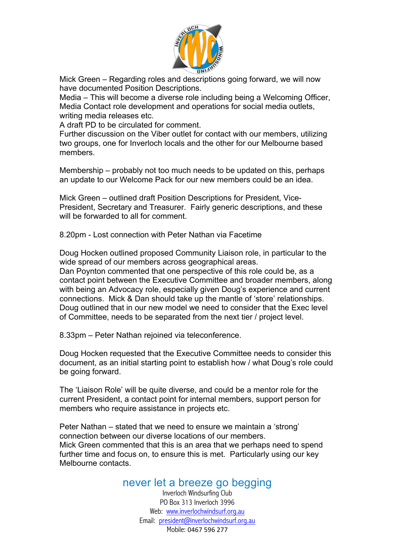

Mick Green – Regarding roles and descriptions going forward, we will now have documented Position Descriptions.

Media – This will become a diverse role including being a Welcoming Officer, Media Contact role development and operations for social media outlets, writing media releases etc.

A draft PD to be circulated for comment.

Further discussion on the Viber outlet for contact with our members, utilizing two groups, one for Inverloch locals and the other for our Melbourne based members.

Membership – probably not too much needs to be updated on this, perhaps an update to our Welcome Pack for our new members could be an idea.

Mick Green – outlined draft Position Descriptions for President, Vice-President, Secretary and Treasurer. Fairly generic descriptions, and these will be forwarded to all for comment.

8.20pm - Lost connection with Peter Nathan via Facetime

Doug Hocken outlined proposed Community Liaison role, in particular to the wide spread of our members across geographical areas.

Dan Poynton commented that one perspective of this role could be, as a contact point between the Executive Committee and broader members, along with being an Advocacy role, especially given Doug's experience and current connections. Mick & Dan should take up the mantle of 'store' relationships. Doug outlined that in our new model we need to consider that the Exec level of Committee, needs to be separated from the next tier / project level.

8.33pm – Peter Nathan rejoined via teleconference.

Doug Hocken requested that the Executive Committee needs to consider this document, as an initial starting point to establish how / what Doug's role could be going forward.

The 'Liaison Role' will be quite diverse, and could be a mentor role for the current President, a contact point for internal members, support person for members who require assistance in projects etc.

Peter Nathan – stated that we need to ensure we maintain a 'strong' connection between our diverse locations of our members. Mick Green commented that this is an area that we perhaps need to spend further time and focus on, to ensure this is met. Particularly using our key Melbourne contacts.

## never let a breeze go begging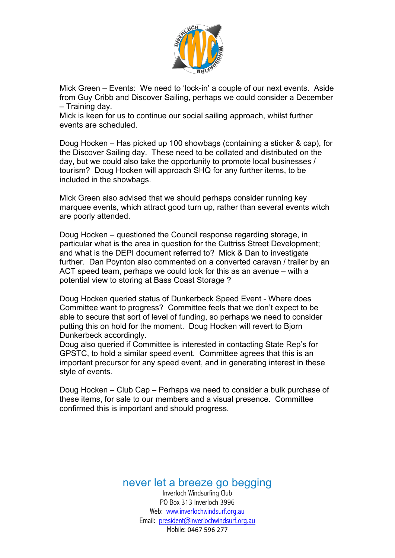

Mick Green – Events: We need to 'lock-in' a couple of our next events. Aside from Guy Cribb and Discover Sailing, perhaps we could consider a December – Training day.

Mick is keen for us to continue our social sailing approach, whilst further events are scheduled.

Doug Hocken – Has picked up 100 showbags (containing a sticker & cap), for the Discover Sailing day. These need to be collated and distributed on the day, but we could also take the opportunity to promote local businesses / tourism? Doug Hocken will approach SHQ for any further items, to be included in the showbags.

Mick Green also advised that we should perhaps consider running key marquee events, which attract good turn up, rather than several events witch are poorly attended.

Doug Hocken – questioned the Council response regarding storage, in particular what is the area in question for the Cuttriss Street Development; and what is the DEPI document referred to? Mick & Dan to investigate further. Dan Poynton also commented on a converted caravan / trailer by an ACT speed team, perhaps we could look for this as an avenue – with a potential view to storing at Bass Coast Storage ?

Doug Hocken queried status of Dunkerbeck Speed Event - Where does Committee want to progress? Committee feels that we don't expect to be able to secure that sort of level of funding, so perhaps we need to consider putting this on hold for the moment. Doug Hocken will revert to Bjorn Dunkerbeck accordingly.

Doug also queried if Committee is interested in contacting State Rep's for GPSTC, to hold a similar speed event. Committee agrees that this is an important precursor for any speed event, and in generating interest in these style of events.

Doug Hocken – Club Cap – Perhaps we need to consider a bulk purchase of these items, for sale to our members and a visual presence. Committee confirmed this is important and should progress.

never let a breeze go begging